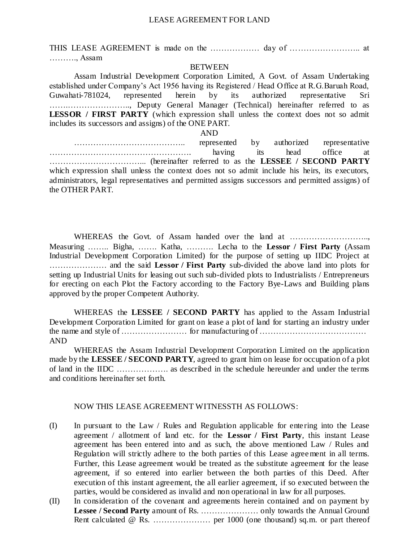#### LEASE AGREEMENT FOR LAND

THIS LEASE AGREEMENT is made on the ……………… day of …………………….. at ………., Assam

#### **BETWEEN**

Assam Industrial Development Corporation Limited, A Govt. of Assam Undertaking established under Company's Act 1956 having its Registered / Head Office at R.G.Baruah Road, Guwahati-781024, represented herein by its authorized representative Sri …….………………….., Deputy General Manager (Technical) hereinafter referred to as **LESSOR / FIRST PARTY** (which expression shall unless the context does not so admit includes its successors and assigns) of the ONE PART.

## AND

………………………………….. represented by authorized representative ……………………………………………. having its head office at ……………………………... (hereinafter referred to as the **LESSEE / SECOND PARTY** which expression shall unless the context does not so admit include his heirs, its executors, administrators, legal representatives and permitted assigns successors and permitted assigns) of the OTHER PART.

WHEREAS the Govt. of Assam handed over the land at .............................. Measuring …….. Bigha, ……. Katha, ………. Lecha to the **Lessor / First Party** (Assam Industrial Development Corporation Limited) for the purpose of setting up IIDC Project at ………………… and the said **Lessor / First Party** sub-divided the above land into plots for setting up Industrial Units for leasing out such sub-divided plots to Industrialists / Entrepreneurs for erecting on each Plot the Factory according to the Factory Bye-Laws and Building plans approved by the proper Competent Authority.

WHEREAS the **LESSEE / SECOND PARTY** has applied to the Assam Industrial Development Corporation Limited for grant on lease a plot of land for starting an industry under the name and style of …………………… for manufacturing of ………………………………… AND

WHEREAS the Assam Industrial Development Corporation Limited on the application made by the **LESSEE / SECOND PARTY**, agreed to grant him on lease for occupation of a plot of land in the IIDC ………………. as described in the schedule hereunder and under the terms and conditions hereinafter set forth.

### NOW THIS LEASE AGREEMENT WITNESSTH AS FOLLOWS:

- (I) In pursuant to the Law / Rules and Regulation applicable for ente ring into the Lease agreement / allotment of land etc. for the **Lessor / First Party**, this instant Lease agreement has been entered into and as such, the above mentioned Law / Rules and Regulation will strictly adhere to the both parties of this Lease agreement in all terms. Further, this Lease agreement would be treated as the substitute agreement for the lease agreement, if so entered into earlier between the both parties of this Deed. After execution of this instant agreement, the all earlier agreement, if so executed between the parties, would be considered as invalid and non operational in law for all purposes.
- (II) In consideration of the covenant and agreements herein contained and on payment by **Lessee / Second Party** amount of Rs. ………………… only towards the Annual Ground Rent calculated @ Rs. ………………… per 1000 (one thousand) sq.m. or part thereof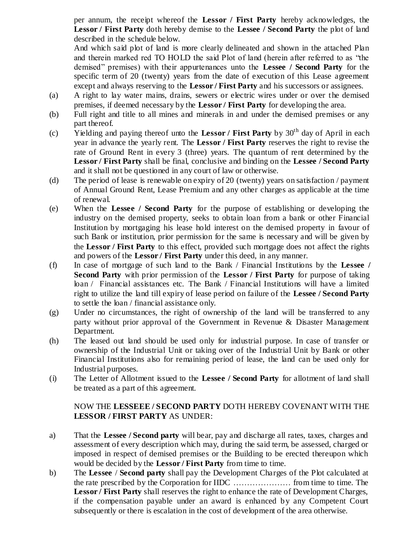per annum, the receipt whereof the **Lessor / First Party** hereby acknowledges, the **Lessor / First Party** doth hereby demise to the **Lessee / Second Party** the plot of land described in the schedule below.

And which said plot of land is more clearly delineated and shown in the attached Plan and therein marked red TO HOLD the said Plot of land (herein after referred to as "the demised" premises) with their appurtenances unto the **Lessee / Second Party** for the specific term of 20 (twenty) years from the date of execution of this Lease agreement except and always reserving to the **Lessor / First Party** and his successors or assignees.

- (a) A right to lay water mains, drains, sewers or electric wires under or over the demised premises, if deemed necessary by the **Lessor / First Party** for developing the area.
- (b) Full right and title to all mines and minerals in and under the demised premises or any part thereof.
- (c) Yielding and paying thereof unto the Lessor / First Party by  $30<sup>th</sup>$  day of April in each year in advance the yearly rent. The **Lessor / First Party** reserves the right to revise the rate of Ground Rent in every 3 (three) years. The quantum of rent determined by the **Lessor / First Party** shall be final, conclusive and binding on the **Lessee / Second Party** and it shall not be questioned in any court of law or otherwise.
- (d) The period of lease is renewable on expiry of 20 (twenty) years on satisfaction / payment of Annual Ground Rent, Lease Premium and any other charges as applicable at the time of renewal.
- (e) When the **Lessee / Second Party** for the purpose of establishing or developing the industry on the demised property, seeks to obtain loan from a bank or other Financial Institution by mortgaging his lease hold interest on the demised property in favour of such Bank or institution, prior permission for the same is necessary and will be given by the **Lessor / First Party** to this effect, provided such mortgage does not affect the rights and powers of the **Lessor / First Party** under this deed, in any manner.
- (f) In case of mortgage of such land to the Bank / Financial Institutions by the **Lessee / Second Party** with prior permission of the **Lessor / First Party** for purpose of taking loan / Financial assistances etc. The Bank / Financial Institutions will have a limited right to utilize the land till expiry of lease period on failure of the **Lessee / Second Party** to settle the loan / financial assistance only.
- (g) Under no circumstances, the right of ownership of the land will be transferred to any party without prior approval of the Government in Revenue & Disaster Management Department.
- (h) The leased out land should be used only for industrial purpose. In case of transfer or ownership of the Industrial Unit or taking over of the Industrial Unit by Bank or other Financial Institutions also for remaining period of lease, the land can be used only for Industrial purposes.
- (i) The Letter of Allotment issued to the **Lessee / Second Party** for allotment of land shall be treated as a part of this agreement.

## NOW THE **LESSEEE / SECOND PARTY** DOTH HEREBY COVENANT WITH THE **LESSOR / FIRST PARTY** AS UNDER:

- a) That the **Lessee / Second party** will bear, pay and discharge all rates, taxes, charges and assessment of every description which may, during the said term, be assessed, charged or imposed in respect of demised premises or the Building to be erected thereupon which would be decided by the **Lessor / First Party** from time to time.
- b) The **Lessee** / **Second party** shall pay the Development Charges of the Plot calculated at the rate prescribed by the Corporation for IIDC ………………… from time to time. The **Lessor / First Party** shall reserves the right to enhance the rate of Development Charges, if the compensation payable under an award is enhanced by any Competent Court subsequently or there is escalation in the cost of development of the area otherwise.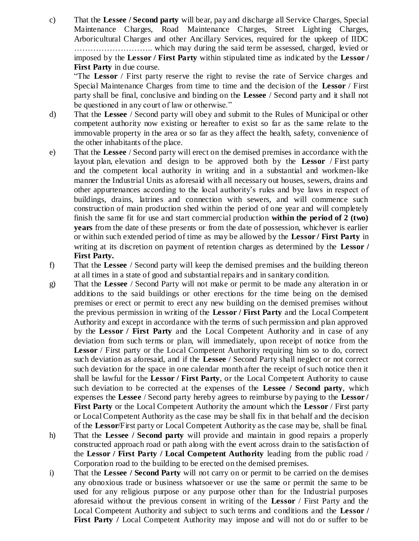c) That the **Lessee / Second party** will bear, pay and discharge all Service Charges, Special Maintenance Charges, Road Maintenance Charges, Street Lighting Charges, Arboricultural Charges and other Ancillary Services, required for the upkeep of IIDC ……………………….. which may during the said term be assessed, charged, levied or imposed by the **Lessor / First Party** within stipulated time as indicated by the **Lessor / First Party** in due course.

"The **Lessor** / First party reserve the right to revise the rate of Service charges and Special Maintenance Charges from time to time and the decision of the **Lessor** / First party shall be final, conclusive and binding on the **Lessee** / Second party and it shall not be questioned in any court of law or otherwise."

- d) That the **Lessee** / Second party will obey and submit to the Rules of Municipal or other competent authority now existing or hereafter to exist so far as the same relate to the immovable property in the area or so far as they affect the health, safety, convenience of the other inhabitants of the place.
- e) That the **Lessee** / Second party will erect on the demised premises in accordance with the layout plan, elevation and design to be approved both by the **Lessor** / First party and the competent local authority in writing and in a substantial and workmen-like manner the Industrial Units as aforesaid with all necessary out houses, sewers, drains and other appurtenances according to the local authority's rules and bye laws in respect of buildings, drains, latrines and connection with sewers, and will commence such construction of main production shed within the period of one year and will completely finish the same fit for use and start commercial production **within the period of 2 (two) years** from the date of these presents or from the date of possession, whichever is earlier or within such extended period of time as may be allowed by the **Lessor / First Party** in writing at its discretion on payment of retention charges as determined by the **Lessor / First Party.**
- f) That the **Lessee** / Second party will keep the demised premises and the building thereon at all times in a state of good and substantial repairs and in sanitary condition.
- g) That the **Lessee** / Second Party will not make or permit to be made any alteration in or additions to the said buildings or other erections for the time being on the demised premises or erect or permit to erect any new building on the demised premises without the previous permission in writing of the **Lessor / First Party** and the Local Competent Authority and except in accordance with the terms of such permission and plan approved by the **Lessor / First Party** and the Local Competent Authority and in case of any deviation from such terms or plan, will immediately, upon receipt of notice from the **Lessor** / First party or the Local Competent Authority requiring him so to do, correct such deviation as aforesaid, and if the **Lessee** / Second Party shall neglect or not correct such deviation for the space in one calendar month after the receipt of such notice then it shall be lawful for the **Lessor / First Party**, or the Local Competent Authority to cause such deviation to be corrected at the expenses of the **Lessee / Second party**, which expenses the **Lessee** / Second party hereby agrees to reimburse by paying to the **Lessor / First Party** or the Local Competent Authority the amount which the **Lessor** / First party or Local Competent Authority as the case may be shall fix in that behalf and the decision of the **Lessor**/First party or Local Competent Authority as the case may be, shall be final.
- h) That the **Lessee / Second party** will provide and maintain in good repairs a properly constructed approach road or path along with the event across drain to the satisfaction of the **Lessor / First Party / Local Competent Authority** leading from the public road / Corporation road to the building to be erected on the demised premises.
- i) That the **Lessee / Second Party** will not carry on or permit to be carried on the demises any obnoxious trade or business whatsoever or use the same or permit the same to be used for any religious purpose or any purpose other than for the Industrial purposes aforesaid without the previous consent in writing of the **Lessor** / First Party and the Local Competent Authority and subject to such terms and conditions and the **Lessor / First Party / Local Competent Authority may impose and will not do or suffer to be**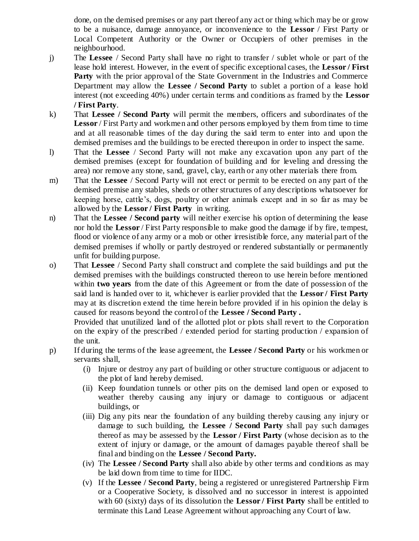done, on the demised premises or any part thereof any act or thing which may be or grow to be a nuisance, damage annoyance, or inconvenience to the **Lessor** / First Party or Local Competent Authority or the Owner or Occupiers of other premises in the neighbourhood.

- j) The **Lessee** / Second Party shall have no right to transfer / sublet whole or part of the lease hold interest. However, in the event of specific exceptional cases, the **Lessor / First**  Party with the prior approval of the State Government in the Industries and Commerce Department may allow the **Lessee / Second Party** to sublet a portion of a lease hold interest (not exceeding 40%) under certain terms and conditions as framed by the **Lessor / First Party**.
- k) That **Lessee / Second Party** will permit the members, officers and subordinates of the **Lessor** / First Party and workmen and other persons employed by them from time to time and at all reasonable times of the day during the said term to enter into and upon the demised premises and the buildings to be erected thereupon in order to inspect the same.
- l) That the **Lessee** / Second Party will not make any excavation upon any part of the demised premises (except for foundation of building and for leveling and dressing the area) nor remove any stone, sand, gravel, clay, earth or any other materials there from.
- m) That the **Lessee** / Second Party will not erect or permit to be erected on any part of the demised premise any stables, sheds or other structures of any descriptions whatsoever for keeping horse, cattle's, dogs, poultry or other animals except and in so far as may be allowed by the **Lessor / First Party** in writing.
- n) That the **Lessee / Second party** will neither exercise his option of determining the lease nor hold the **Lessor** / First Party responsible to make good the damage if by fire, tempest, flood or violence of any army or a mob or other irresistible force, any material part of the demised premises if wholly or partly destroyed or rendered substantially or permanently unfit for building purpose.
- o) That **Lessee** / Second Party shall construct and complete the said buildings and put the demised premises with the buildings constructed thereon to use herein before mentioned within **two years** from the date of this Agreement or from the date of possession of the said land is handed over to it, whichever is earlier provided that the **Lessor / First Party**  may at its discretion extend the time herein before provided if in his opinion the delay is caused for reasons beyond the control of the **Lessee / Second Party .**

Provided that unutilized land of the allotted plot or plots shall revert to the Corporation on the expiry of the prescribed / extended period for starting production / expansion of the unit.

- p) If during the terms of the lease agreement, the **Lessee / Second Party** or his workmen or servants shall,
	- (i) Injure or destroy any part of building or other structure contiguous or adjacent to the plot of land hereby demised.
	- (ii) Keep foundation tunnels or other pits on the demised land open or exposed to weather thereby causing any injury or damage to contiguous or adjacent buildings, or
	- (iii) Dig any pits near the foundation of any building thereby causing any injury or damage to such building, the **Lessee / Second Party** shall pay such damages thereof as may be assessed by the **Lessor / First Party** (whose decision as to the extent of injury or damage, or the amount of damages payable thereof shall be final and binding on the **Lessee / Second Party.**
	- (iv) The **Lessee / Second Party** shall also abide by other terms and conditions as may be laid down from time to time for IIDC.
	- (v) If the **Lessee / Second Party**, being a registered or unregistered Partnership Firm or a Cooperative Society, is dissolved and no successor in interest is appointed with 60 (sixty) days of its dissolution the **Lessor / First Party** shall be entitled to terminate this Land Lease Agreement without approaching any Court of law.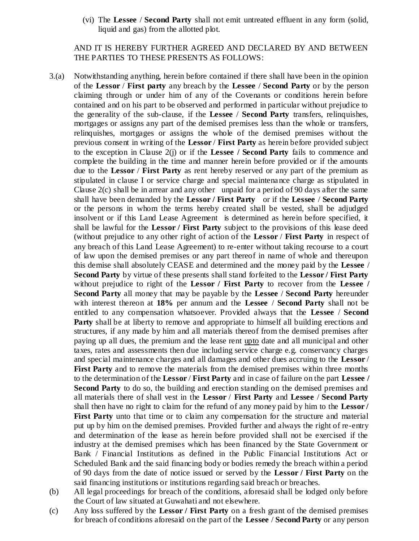(vi) The **Lessee** / **Second Party** shall not emit untreated effluent in any form (solid, liquid and gas) from the allotted plot.

AND IT IS HEREBY FURTHER AGREED AND DECLARED BY AND BETWEEN THE PARTIES TO THESE PRESENTS AS FOLLOWS:

- 3.(a) Notwithstanding anything, herein before contained if there shall have been in the opinion of the **Lessor** / **First party** any breach by the **Lessee** / **Second Party** or by the person claiming through or under him of any of the Covenants or conditions herein before contained and on his part to be observed and performed in particular without prejudice to the generality of the sub-clause, if the **Lessee** / **Second Party** transfers, relinquishes, mortgages or assigns any part of the demised premises less than the whole or transfers, relinquishes, mortgages or assigns the whole of the demised premises without the previous consent in writing of the **Lessor** / **First Party** as herein before provided subject to the exception in Clause 2(j) or if the **Lessee / Second Party** fails to commence and complete the building in the time and manner herein before provided or if the amounts due to the **Lessor** / **First Party** as rent hereby reserved or any part of the premium as stipulated in clause I or service charge and special maintenance charge as stipulated in Clause  $2(c)$  shall be in arrear and any other unpaid for a period of 90 days after the same shall have been demanded by the **Lessor / First Party** or if the **Lessee** / **Second Party** or the persons in whom the terms hereby created shall be vested, shall be adjudged insolvent or if this Land Lease Agreement is determined as herein before specified, it shall be lawful for the **Lessor / First Party** subject to the provisions of this lease deed (without prejudice to any other right of action of the **Lessor** / **First Party** in respect of any breach of this Land Lease Agreement) to re-enter without taking recourse to a court of law upon the demised premises or any part thereof in name of whole and thereupon this demise shall absolutely CEASE and determined and the money paid by the **Lessee** / **Second Party** by virtue of these presents shall stand forfeited to the **Lessor / First Party**  without prejudice to right of the **Lessor / First Party** to recover from the **Lessee / Second Party** all money that may be payable by the **Lessee** / **Second Party** hereunder with interest thereon at **18%** per annum and the **Lessee** / **Second Party** shall not be entitled to any compensation whatsoever. Provided always that the **Lessee** / **Second Party** shall be at liberty to remove and appropriate to himself all building erections and structures, if any made by him and all materials thereof from the demised premises after paying up all dues, the premium and the lease rent upto date and all municipal and other taxes, rates and assessments then due including service charge e.g. conservancy charges and special maintenance charges and all damages and other dues accruing to the **Lessor** / **First Party** and to remove the materials from the demised premises within three months to the determination of the **Lessor** / **First Party** and in case of failure on the part **Lessee / Second Party** to do so, the building and erection standing on the demised premises and all materials there of shall vest in the **Lessor** / **First Party** and **Lessee** / **Second Party** shall then have no right to claim for the refund of any money paid by him to the **Lessor / First Party** unto that time or to claim any compensation for the structure and material put up by him on the demised premises. Provided further and always the right of re-entry and determination of the lease as herein before provided shall not be exercised if the industry at the demised premises which has been financed by the State Government or Bank / Financial Institutions as defined in the Public Financial Institutions Act or Scheduled Bank and the said financing body or bodies remedy the breach within a period of 90 days from the date of notice issued or served by the **Lessor / First Party** on the said financing institutions or institutions regarding said breach or breaches.
- (b) All legal proceedings for breach of the conditions, aforesaid shall be lodged only before the Court of law situated at Guwahati and not elsewhere.
- (c) Any loss suffered by the **Lessor / First Party** on a fresh grant of the demised premises for breach of conditions aforesaid on the part of the **Lessee** / **Second Party** or any person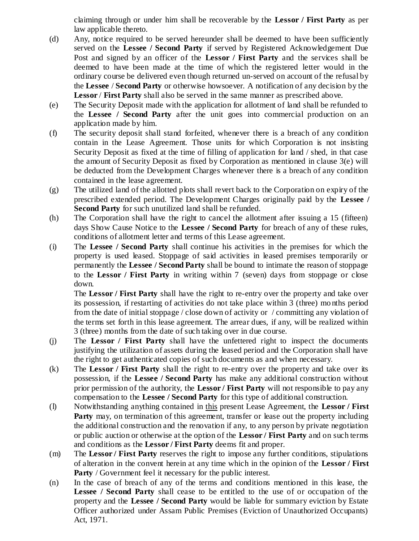claiming through or under him shall be recoverable by the **Lessor / First Party** as per law applicable thereto.

- (d) Any, notice required to be served hereunder shall be deemed to have been sufficiently served on the **Lessee / Second Party** if served by Registered Acknowledgement Due Post and signed by an officer of the **Lessor / First Party** and the services shall be deemed to have been made at the time of which the registered letter would in the ordinary course be delivered even though returned un-served on account of the refusal by the **Lessee** / **Second Party** or otherwise howsoever. A notification of any decision by the **Lessor** / **First Party** shall also be served in the same manner as prescribed above.
- (e) The Security Deposit made with the application for allotment of land shall be refunded to the **Lessee / Second Party** after the unit goes into commercial production on an application made by him.
- (f) The security deposit shall stand forfeited, whenever there is a breach of any condition contain in the Lease Agreement. Those units for which Corporation is not insisting Security Deposit as fixed at the time of filling of application for land / shed, in that case the amount of Security Deposit as fixed by Corporation as mentioned in clause 3(e) will be deducted from the Development Charges whenever there is a breach of any condition contained in the lease agreement.
- (g) The utilized land of the allotted plots shall revert back to the Corporation on expiry of the prescribed extended period. The Development Charges originally paid by the **Lessee / Second Party** for such unutilized land shall be refunded.
- (h) The Corporation shall have the right to cancel the allotment after issuing a 15 (fifteen) days Show Cause Notice to the **Lessee / Second Party** for breach of any of these rules, conditions of allotment letter and terms of this Lease agreement.
- (i) The **Lessee / Second Party** shall continue his activities in the premises for which the property is used leased. Stoppage of said activities in leased premises temporarily or permanently the **Lessee / Second Party** shall be bound to intimate the reason of stoppage to the **Lessor / First Party** in writing within 7 (seven) days from stoppage or close down.

The **Lessor / First Party** shall have the right to re-entry over the property and take over its possession, if restarting of activities do not take place within 3 (three) mo nths period from the date of initial stoppage / close down of activity or / committing any violation of the terms set forth in this lease agreement. The arrear dues, if any, will be realized within 3 (three) months from the date of such taking over in due course.

- (j) The **Lessor / First Party** shall have the unfettered right to inspect the documents justifying the utilization of assets during the leased period and the Corporation shall have the right to get authenticated copies of such documents as and when necessary.
- (k) The **Lessor / First Party** shall the right to re-entry over the property and take over its possession, if the **Lessee / Second Party** has make any additional construction without prior permission of the authority, the **Lessor / First Party** will not responsible to pay any compensation to the **Lessee / Second Party** for this type of additional construction.
- (l) Notwithstanding anything contained in this present Lease Agreement, the **Lessor / First Party** may, on termination of this agreement, transfer or lease out the property including the additional construction and the renovation if any, to any person by private negotiation or public auction or otherwise at the option of the **Lessor / First Party** and on such terms and conditions as the **Lessor / First Party** deems fit and proper.
- (m) The **Lessor / First Party** reserves the right to impose any further conditions, stipulations of alteration in the convent herein at any time which in the opinion of the **Lessor / First Party** / Government feel it necessary for the public interest.
- (n) In the case of breach of any of the terms and conditions mentioned in this lease, the **Lessee / Second Party** shall cease to be entitled to the use of or occupation of the property and the **Lessee / Second Party** would be liable for summary eviction by Estate Officer authorized under Assam Public Premises (Eviction of Unauthorized Occupants) Act, 1971.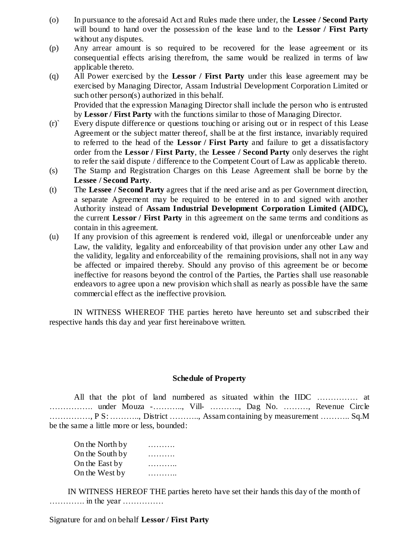- (o) In pursuance to the aforesaid Act and Rules made there under, the **Lessee / Second Party** will bound to hand over the possession of the lease land to the **Lessor / First Party** without any disputes.
- (p) Any arrear amount is so required to be recovered for the lease agreement or its consequential effects arising therefrom, the same would be realized in terms of law applicable thereto.
- (q) All Power exercised by the **Lessor / First Party** under this lease agreement may be exercised by Managing Director, Assam Industrial Development Corporation Limited or such other person(s) authorized in this behalf. Provided that the expression Managing Director shall include the person who is entrusted
- by **Lessor / First Party** with the functions similar to those of Managing Director. (r)` Every dispute difference or questions touching or arising out or in respect of this Lease Agreement or the subject matter thereof, shall be at the first instance, invariably required to referred to the head of the **Lessor / First Party** and failure to get a dissatisfactory order from the **Lessor / First Party**, the **Lessee / Second Party** only deserves the right to refer the said dispute / difference to the Competent Court of Law as applicable thereto.
- (s) The Stamp and Registration Charges on this Lease Agreement shall be borne by the **Lessee / Second Party**.
- (t) The **Lessee / Second Party** agrees that if the need arise and as per Government direction, a separate Agreement may be required to be entered in to and signed with another Authority instead of **Assam Industrial Development Corporation Limited (AIDC),** the current **Lessor / First Party** in this agreement on the same terms and conditions as contain in this agreement.
- (u) If any provision of this agreement is rendered void, illegal or unenforceable under any Law, the validity, legality and enforceability of that provision under any other Law and the validity, legality and enforceability of the remaining provisions, shall not in any way be affected or impaired thereby. Should any proviso of this agreement be or become ineffective for reasons beyond the control of the Parties, the Parties shall use reasonable endeavors to agree upon a new provision which shall as nearly as possible have the same commercial effect as the ineffective provision.

IN WITNESS WHEREOF THE parties hereto have hereunto set and subscribed their respective hands this day and year first hereinabove written.

### **Schedule of Property**

All that the plot of land numbered as situated within the IIDC …………… at ……………. under Mouza -……….., Vill- ……….., Dag No. ………, Revenue Circle ……………, P S: ……….., District ……….., Assam containing by measurement ……….. Sq.M be the same a little more or less, bounded:

On the North by On the South by ………. On the East by ………….. On the West by ………..

IN WITNESS HEREOF THE parties hereto have set their hands this day of the month of …………. in the year ……………

Signature for and on behalf **Lessor / First Party**